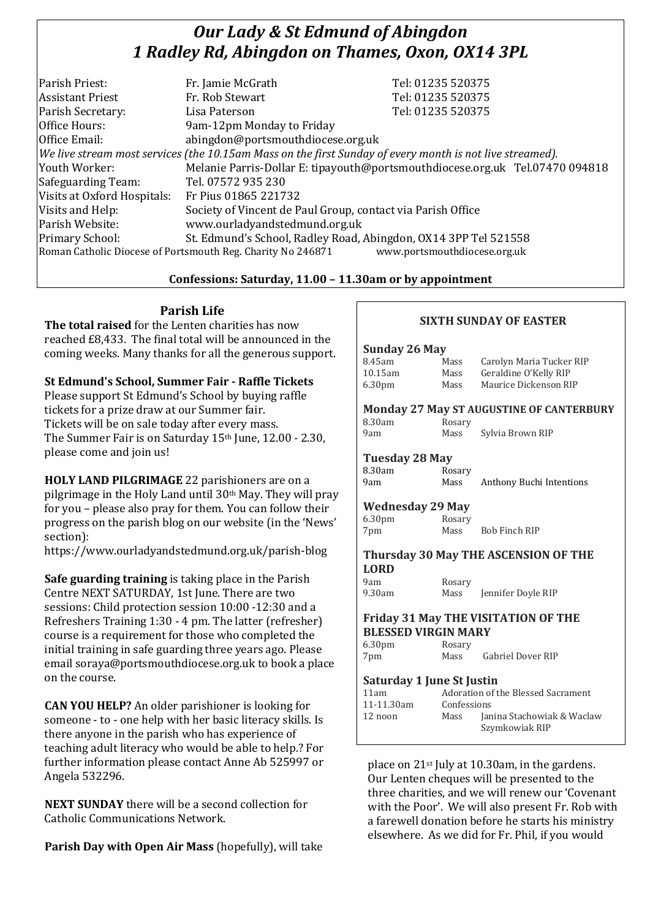# *Our Lady & St Edmund of Abingdon 1 Radley Rd, Abingdon on Thames, Oxon, OX14 3PL*

| Parish Priest:              | Fr. Jamie McGrath                                                                                        | Tel: 01235 520375            |  |
|-----------------------------|----------------------------------------------------------------------------------------------------------|------------------------------|--|
| <b>Assistant Priest</b>     | Fr. Rob Stewart                                                                                          | Tel: 01235 520375            |  |
| Parish Secretary:           | Lisa Paterson                                                                                            | Tel: 01235 520375            |  |
| Office Hours:               | 9am-12pm Monday to Friday                                                                                |                              |  |
| Office Email:               | abingdon@portsmouthdiocese.org.uk                                                                        |                              |  |
|                             | We live stream most services (the 10.15am Mass on the first Sunday of every month is not live streamed). |                              |  |
| Youth Worker:               | Melanie Parris-Dollar E: tipayouth@portsmouthdiocese.org.uk Tel.07470 094818                             |                              |  |
| Safeguarding Team:          | Tel. 07572 935 230                                                                                       |                              |  |
| Visits at Oxford Hospitals: | Fr Pius 01865 221732                                                                                     |                              |  |
| Visits and Help:            | Society of Vincent de Paul Group, contact via Parish Office                                              |                              |  |
| Parish Website:             | www.ourladyandstedmund.org.uk                                                                            |                              |  |
| Primary School:             | St. Edmund's School, Radley Road, Abingdon, OX14 3PP Tel 521558                                          |                              |  |
|                             | Roman Catholic Diocese of Portsmouth Reg. Charity No 246871                                              | www.portsmouthdiocese.org.uk |  |

### **Confessions: Saturday, 11.00 – 11.30am or by appointment**

### **Parish Life**

**The total raised** for the Lenten charities has now reached £8,433. The final total will be announced in the coming weeks. Many thanks for all the generous support.

**St Edmund's School, Summer Fair - Raffle Tickets** Please support St Edmund's School by buying raffle tickets for a prize draw at our Summer fair. Tickets will be on sale today after every mass. The Summer Fair is on Saturday 15<sup>th</sup> June, 12.00 - 2.30, please come and join us!

**HOLY LAND PILGRIMAGE** 22 parishioners are on a pilgrimage in the Holy Land until 30th May. They will pray for you – please also pray for them. You can follow their progress on the parish blog on our website (in the 'News' section):

https://www.ourladyandstedmund.org.uk/parish-blog

**Safe guarding training** is taking place in the Parish Centre NEXT SATURDAY, 1st June. There are two sessions: Child protection session 10:00 -12:30 and a Refreshers Training 1:30 - 4 pm. The latter (refresher) course is a requirement for those who completed the initial training in safe guarding three years ago. Please email soraya@portsmouthdiocese.org.uk to book a place on the course.

**CAN YOU HELP?** An older parishioner is looking for someone - to - one help with her basic literacy skills. Is there anyone in the parish who has experience of teaching adult literacy who would be able to help.? For further information please contact Anne Ab 525997 or Angela 532296.

**NEXT SUNDAY** there will be a second collection for Catholic Communications Network.

**Parish Day with Open Air Mass** (hopefully), will take

## **SIXTH SUNDAY OF EASTER**

#### **Sunday 26 May**

| 8.45am             | Mass | Carolyn Maria Tucker RIP |
|--------------------|------|--------------------------|
| 10.15am            | Mass | Geraldine O'Kelly RIP    |
| 6.30 <sub>pm</sub> | Mass | Maurice Dickenson RIP    |

### **Monday 27 May ST AUGUSTINE OF CANTERBURY**

| 8.30am | Rosary |                  |
|--------|--------|------------------|
| 9am    | Mass   | Sylvia Brown RIP |

| Sylvia Brown RIF |  |
|------------------|--|
|                  |  |

#### **Tuesday 28 May**

| 8.30am | Rosary |                          |
|--------|--------|--------------------------|
| 9am    | Mass   | Anthony Buchi Intentions |

#### **Wednesday 29 May**

6.30pm Rosary 7pm Mass Bob Finch RIP

#### **Thursday 30 May THE ASCENSION OF THE LORD**

9am Rosary<br>9.30am Mass

Mass Jennifer Doyle RIP

#### **Friday 31 May THE VISITATION OF THE BLESSED VIRGIN MARY**

6.30pm Rosary 7pm Mass Gabriel Dover RIP

#### **Saturday 1 June St Justin**

| 11am       | Adoration of the Blessed Sacrament |                                              |
|------------|------------------------------------|----------------------------------------------|
| 11-11.30am | Confessions                        |                                              |
| 12 noon    | Mass                               | Janina Stachowiak & Waclaw<br>Szymkowiak RIP |

place on 21st July at 10.30am, in the gardens. Our Lenten cheques will be presented to the three charities, and we will renew our 'Covenant with the Poor'. We will also present Fr. Rob with a farewell donation before he starts his ministry elsewhere. As we did for Fr. Phil, if you would